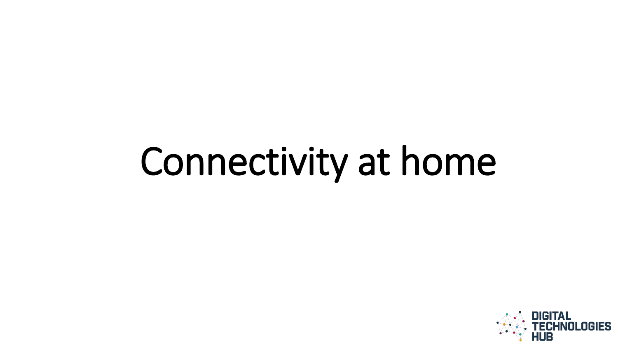# Connectivity at home

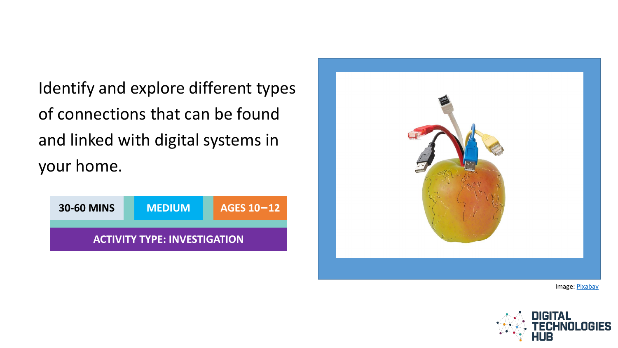Identify and explore different types of connections that can be found and linked with digital systems in your home.

| <b>30-60 MINS</b> | <b>MEDIUM</b>                       | AGES 10-12 |
|-------------------|-------------------------------------|------------|
|                   | <b>ACTIVITY TYPE: INVESTIGATION</b> |            |



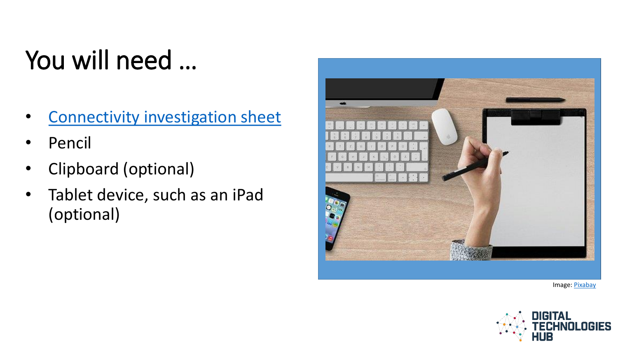### You will need …

- [Connectivity investigation sheet](#page-9-0)
- Pencil
- Clipboard (optional)
- Tablet device, such as an iPad (optional)



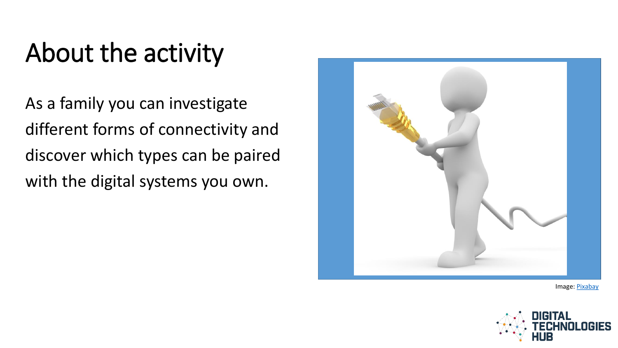#### About the activity

As a family you can investigate different forms of connectivity and discover which types can be paired with the digital systems you own.



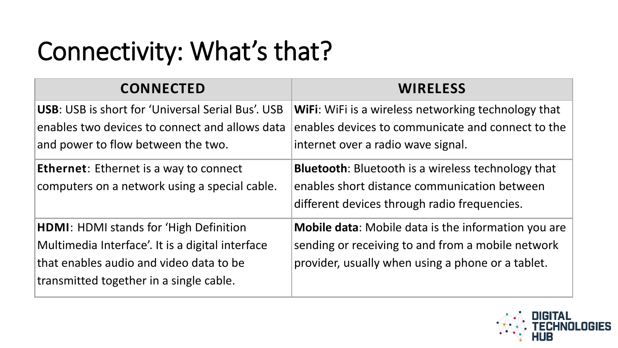#### Connectivity: What's that?

| <b>CONNECTED</b>                                         | <b>WIRELESS</b>                                            |
|----------------------------------------------------------|------------------------------------------------------------|
| <b>USB:</b> USB is short for 'Universal Serial Bus'. USB | <b>WiFi:</b> WiFi is a wireless networking technology that |
| enables two devices to connect and allows data           | enables devices to communicate and connect to the          |
| and power to flow between the two.                       | internet over a radio wave signal.                         |
| <b>Ethernet:</b> Ethernet is a way to connect            | <b>Bluetooth:</b> Bluetooth is a wireless technology that  |
| computers on a network using a special cable.            | enables short distance communication between               |
|                                                          | different devices through radio frequencies.               |
| <b>HDMI: HDMI stands for 'High Definition</b>            | <b>Mobile data:</b> Mobile data is the information you are |
| Multimedia Interface'. It is a digital interface         | sending or receiving to and from a mobile network          |
| that enables audio and video data to be                  | provider, usually when using a phone or a tablet.          |
| transmitted together in a single cable.                  |                                                            |

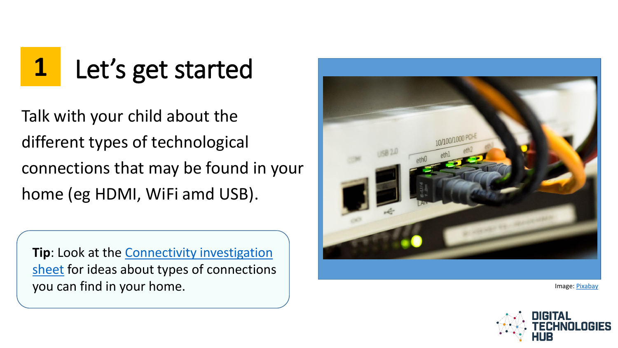## **1** Let's get started

Talk with your child about the different types of technological connections that may be found in your home (eg HDMI, WiFi amd USB).

**Tip**: Look at the **Connectivity investigation** sheet for ideas about types of connections you can find in your home.



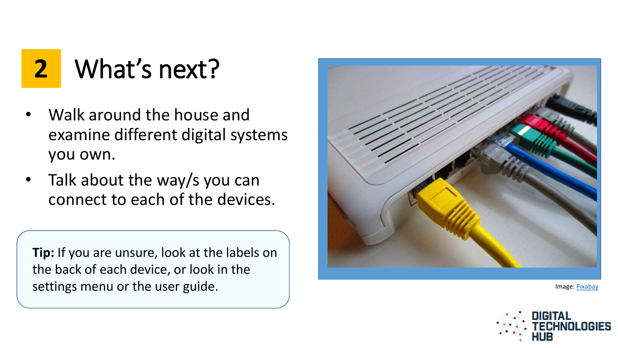**2** What's next?

- Walk around the house and examine different digital systems you own.
- Talk about the way/s you can connect to each of the devices.

**Tip:** If you are unsure, look at the labels on the back of each device, or look in the settings menu or the user guide.



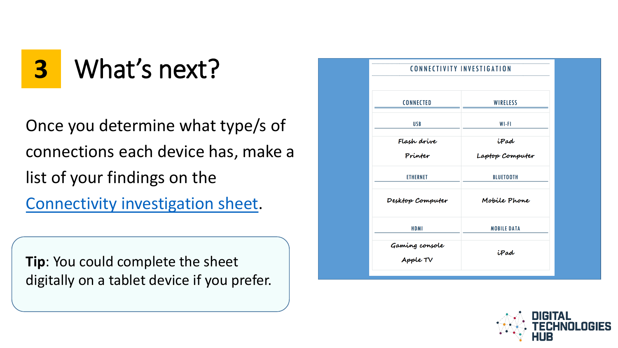**3** What's next?

Once you determine what type/s of connections each device has, make a list of your findings on the [Connectivity investigation sheet.](http://www.digitaltechnologieshub.edu.au/docs/default-source/family-tasks/connectivity-investigation-sheet.pdf)

**Tip**: You could complete the sheet digitally on a tablet device if you prefer.

| <b>CONNECTIVITY INVESTIGATION</b> |                         |
|-----------------------------------|-------------------------|
| <b>CONNECTED</b>                  | <b>WIRELESS</b>         |
| <b>USB</b>                        | WI-FI                   |
|                                   |                         |
| Flash drive<br>Printer            | iPad<br>Laptop Computer |
| <b>ETHERNET</b>                   | <b>BLUETOOTH</b>        |
| Desktop Computer                  | Mobile Phone            |
| <b>HDMI</b>                       | <b>MOBILE DATA</b>      |
| Gaming console<br>Apple TV        | iPad                    |
|                                   |                         |

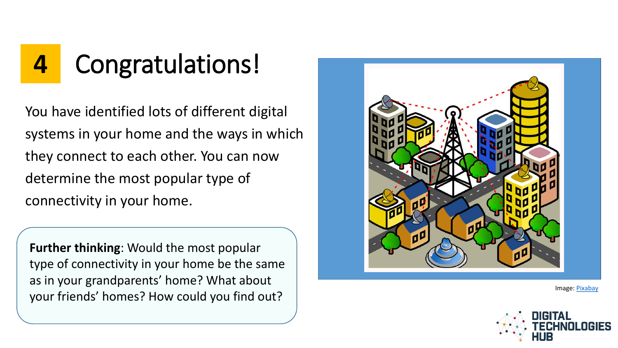

You have identified lots of different digital systems in your home and the ways in which they connect to each other. You can now determine the most popular type of connectivity in your home.

**Further thinking**: Would the most popular type of connectivity in your home be the same as in your grandparents' home? What about your friends' homes? How could you find out?